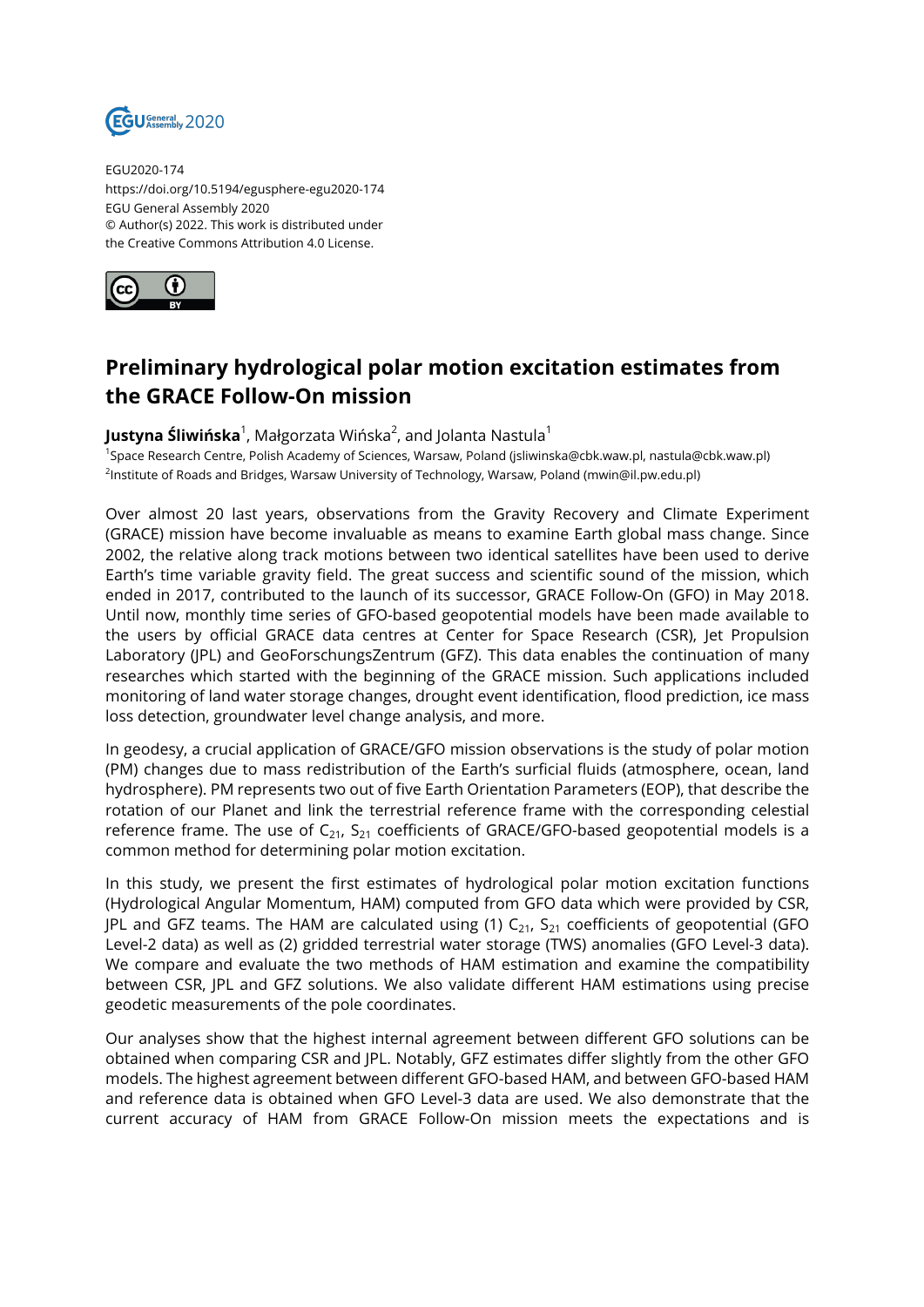

EGU2020-174 https://doi.org/10.5194/egusphere-egu2020-174 EGU General Assembly 2020 © Author(s) 2022. This work is distributed under the Creative Commons Attribution 4.0 License.



## **Preliminary hydrological polar motion excitation estimates from the GRACE Follow-On mission**

**Justyna Śliwińska**<sup>1</sup>, Małgorzata Wińska<sup>2</sup>, and Jolanta Nastula<sup>1</sup>

1 Space Research Centre, Polish Academy of Sciences, Warsaw, Poland (jsliwinska@cbk.waw.pl, nastula@cbk.waw.pl) <sup>2</sup>Institute of Roads and Bridges, Warsaw University of Technology, Warsaw, Poland (mwin@il.pw.edu.pl)

Over almost 20 last years, observations from the Gravity Recovery and Climate Experiment (GRACE) mission have become invaluable as means to examine Earth global mass change. Since 2002, the relative along track motions between two identical satellites have been used to derive Earth's time variable gravity field. The great success and scientific sound of the mission, which ended in 2017, contributed to the launch of its successor, GRACE Follow-On (GFO) in May 2018. Until now, monthly time series of GFO-based geopotential models have been made available to the users by official GRACE data centres at Center for Space Research (CSR), Jet Propulsion Laboratory (JPL) and GeoForschungsZentrum (GFZ). This data enables the continuation of many researches which started with the beginning of the GRACE mission. Such applications included monitoring of land water storage changes, drought event identification, flood prediction, ice mass loss detection, groundwater level change analysis, and more.

In geodesy, a crucial application of GRACE/GFO mission observations is the study of polar motion (PM) changes due to mass redistribution of the Earth's surficial fluids (atmosphere, ocean, land hydrosphere). PM represents two out of five Earth Orientation Parameters (EOP), that describe the rotation of our Planet and link the terrestrial reference frame with the corresponding celestial reference frame. The use of  $C_{21}$ ,  $S_{21}$  coefficients of GRACE/GFO-based geopotential models is a common method for determining polar motion excitation.

In this study, we present the first estimates of hydrological polar motion excitation functions (Hydrological Angular Momentum, HAM) computed from GFO data which were provided by CSR, JPL and GFZ teams. The HAM are calculated using (1)  $C_{21}$ ,  $S_{21}$  coefficients of geopotential (GFO Level-2 data) as well as (2) gridded terrestrial water storage (TWS) anomalies (GFO Level-3 data). We compare and evaluate the two methods of HAM estimation and examine the compatibility between CSR, JPL and GFZ solutions. We also validate different HAM estimations using precise geodetic measurements of the pole coordinates.

Our analyses show that the highest internal agreement between different GFO solutions can be obtained when comparing CSR and JPL. Notably, GFZ estimates differ slightly from the other GFO models. The highest agreement between different GFO-based HAM, and between GFO-based HAM and reference data is obtained when GFO Level-3 data are used. We also demonstrate that the current accuracy of HAM from GRACE Follow-On mission meets the expectations and is